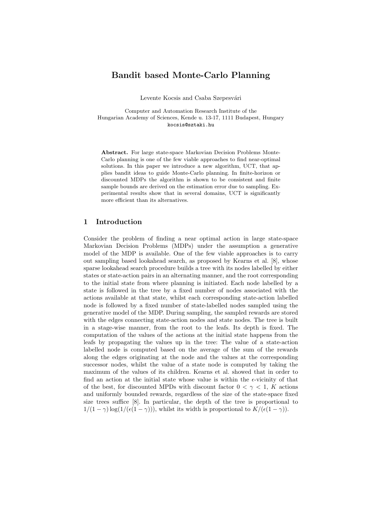# Bandit based Monte-Carlo Planning

Levente Kocsis and Csaba Szepesvári

Computer and Automation Research Institute of the Hungarian Academy of Sciences, Kende u. 13-17, 1111 Budapest, Hungary kocsis@sztaki.hu

Abstract. For large state-space Markovian Decision Problems Monte-Carlo planning is one of the few viable approaches to find near-optimal solutions. In this paper we introduce a new algorithm, UCT, that applies bandit ideas to guide Monte-Carlo planning. In finite-horizon or discounted MDPs the algorithm is shown to be consistent and finite sample bounds are derived on the estimation error due to sampling. Experimental results show that in several domains, UCT is significantly more efficient than its alternatives.

## 1 Introduction

Consider the problem of finding a near optimal action in large state-space Markovian Decision Problems (MDPs) under the assumption a generative model of the MDP is available. One of the few viable approaches is to carry out sampling based lookahead search, as proposed by Kearns et al. [8], whose sparse lookahead search procedure builds a tree with its nodes labelled by either states or state-action pairs in an alternating manner, and the root corresponding to the initial state from where planning is initiated. Each node labelled by a state is followed in the tree by a fixed number of nodes associated with the actions available at that state, whilst each corresponding state-action labelled node is followed by a fixed number of state-labelled nodes sampled using the generative model of the MDP. During sampling, the sampled rewards are stored with the edges connecting state-action nodes and state nodes. The tree is built in a stage-wise manner, from the root to the leafs. Its depth is fixed. The computation of the values of the actions at the initial state happens from the leafs by propagating the values up in the tree: The value of a state-action labelled node is computed based on the average of the sum of the rewards along the edges originating at the node and the values at the corresponding successor nodes, whilst the value of a state node is computed by taking the maximum of the values of its children. Kearns et al. showed that in order to find an action at the initial state whose value is within the  $\epsilon$ -vicinity of that of the best, for discounted MPDs with discount factor  $0 < \gamma < 1$ , K actions and uniformly bounded rewards, regardless of the size of the state-space fixed size trees suffice [8]. In particular, the depth of the tree is proportional to  $1/(1 - \gamma) \log(1/(\epsilon(1 - \gamma)))$ , whilst its width is proportional to  $K/(\epsilon(1 - \gamma))$ .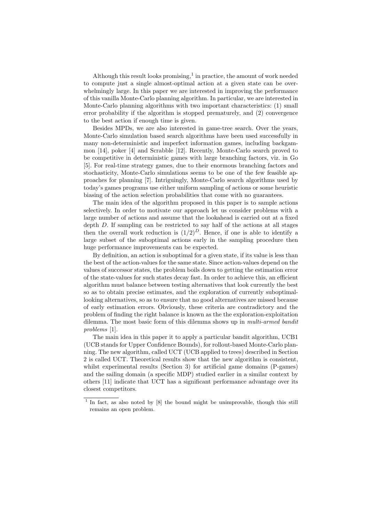Although this result looks promising, $<sup>1</sup>$  in practice, the amount of work needed</sup> to compute just a single almost-optimal action at a given state can be overwhelmingly large. In this paper we are interested in improving the performance of this vanilla Monte-Carlo planning algorithm. In particular, we are interested in Monte-Carlo planning algorithms with two important characteristics: (1) small error probability if the algorithm is stopped prematurely, and (2) convergence to the best action if enough time is given.

Besides MPDs, we are also interested in game-tree search. Over the years, Monte-Carlo simulation based search algorithms have been used successfully in many non-deterministic and imperfect information games, including backgammon [14], poker [4] and Scrabble [12]. Recently, Monte-Carlo search proved to be competitive in deterministic games with large branching factors, viz. in Go [5]. For real-time strategy games, due to their enormous branching factors and stochasticity, Monte-Carlo simulations seems to be one of the few feasible approaches for planning [7]. Intriguingly, Monte-Carlo search algorithms used by today's games programs use either uniform sampling of actions or some heuristic biasing of the action selection probabilities that come with no guarantees.

The main idea of the algorithm proposed in this paper is to sample actions selectively. In order to motivate our approach let us consider problems with a large number of actions and assume that the lookahead is carried out at a fixed depth D. If sampling can be restricted to say half of the actions at all stages then the overall work reduction is  $(1/2)^D$ . Hence, if one is able to identify a large subset of the suboptimal actions early in the sampling procedure then huge performance improvements can be expected.

By definition, an action is suboptimal for a given state, if its value is less than the best of the action-values for the same state. Since action-values depend on the values of successor states, the problem boils down to getting the estimation error of the state-values for such states decay fast. In order to achieve this, an efficient algorithm must balance between testing alternatives that look currently the best so as to obtain precise estimates, and the exploration of currently suboptimallooking alternatives, so as to ensure that no good alternatives are missed because of early estimation errors. Obviously, these criteria are contradictory and the problem of finding the right balance is known as the the exploration-exploitation dilemma. The most basic form of this dilemma shows up in multi-armed bandit problems [1].

The main idea in this paper it to apply a particular bandit algorithm, UCB1 (UCB stands for Upper Confidence Bounds), for rollout-based Monte-Carlo planning. The new algorithm, called UCT (UCB applied to trees) described in Section 2 is called UCT. Theoretical results show that the new algorithm is consistent, whilst experimental results (Section 3) for artificial game domains (P-games) and the sailing domain (a specific MDP) studied earlier in a similar context by others [11] indicate that UCT has a significant performance advantage over its closest competitors.

<sup>&</sup>lt;sup>1</sup> In fact, as also noted by [8] the bound might be unimprovable, though this still remains an open problem.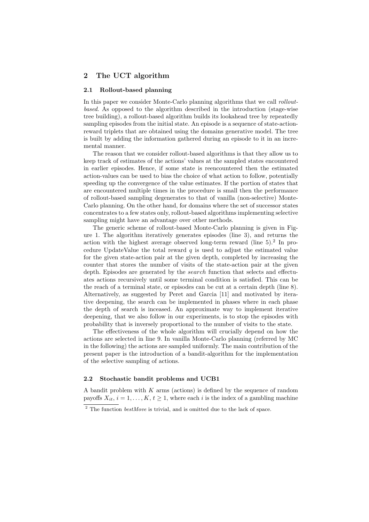## 2 The UCT algorithm

#### 2.1 Rollout-based planning

In this paper we consider Monte-Carlo planning algorithms that we call rolloutbased. As opposed to the algorithm described in the introduction (stage-wise tree building), a rollout-based algorithm builds its lookahead tree by repeatedly sampling episodes from the initial state. An episode is a sequence of state-actionreward triplets that are obtained using the domains generative model. The tree is built by adding the information gathered during an episode to it in an incremental manner.

The reason that we consider rollout-based algorithms is that they allow us to keep track of estimates of the actions' values at the sampled states encountered in earlier episodes. Hence, if some state is reencountered then the estimated action-values can be used to bias the choice of what action to follow, potentially speeding up the convergence of the value estimates. If the portion of states that are encountered multiple times in the procedure is small then the performance of rollout-based sampling degenerates to that of vanilla (non-selective) Monte-Carlo planning. On the other hand, for domains where the set of successor states concentrates to a few states only, rollout-based algorithms implementing selective sampling might have an advantage over other methods.

The generic scheme of rollout-based Monte-Carlo planning is given in Figure 1. The algorithm iteratively generates episodes (line 3), and returns the action with the highest average observed long-term reward (line 5).<sup>2</sup> In procedure UpdateValue the total reward  $q$  is used to adjust the estimated value for the given state-action pair at the given depth, completed by increasing the counter that stores the number of visits of the state-action pair at the given depth. Episodes are generated by the search function that selects and effectuates actions recursively until some terminal condition is satisfied. This can be the reach of a terminal state, or episodes can be cut at a certain depth (line 8). Alternatively, as suggested by Peret and Garcia [11] and motivated by iterative deepening, the search can be implemented in phases where in each phase the depth of search is inceased. An approximate way to implement iterative deepening, that we also follow in our experiments, is to stop the episodes with probability that is inversely proportional to the number of visits to the state.

The effectiveness of the whole algorithm will crucially depend on how the actions are selected in line 9. In vanilla Monte-Carlo planning (referred by MC in the following) the actions are sampled uniformly. The main contribution of the present paper is the introduction of a bandit-algorithm for the implementation of the selective sampling of actions.

#### 2.2 Stochastic bandit problems and UCB1

A bandit problem with  $K$  arms (actions) is defined by the sequence of random payoffs  $X_{it}$ ,  $i = 1, ..., K$ ,  $t > 1$ , where each i is the index of a gambling machine

 $\frac{2}{1}$  The function *bestMove* is trivial, and is omitted due to the lack of space.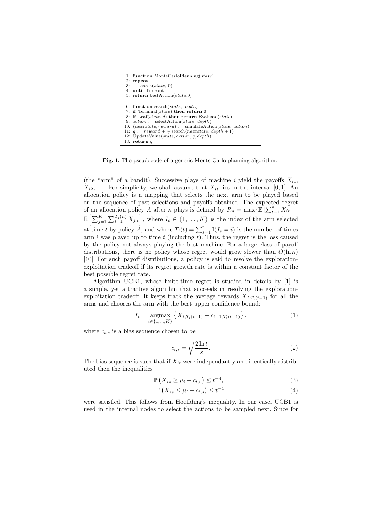| 1: function MonteCarloPlanning $(state)$                          |
|-------------------------------------------------------------------|
| $2:$ repeat                                                       |
| 3: $search(state, 0)$                                             |
| 4: <b>until</b> Timeout                                           |
| 5: return bestAction( $state, 0$ )                                |
|                                                                   |
| 6: function search $state, depth)$                                |
| 7: if $Terminal(state)$ then return 0                             |
| 8: if Leaf(state, d) then return Evaluate(state)                  |
| 9: $action := selectAction(state, depth)$                         |
| 10: $(nextstate, reward) := \text{simulateAction}(state, action)$ |
| 11: $q := reward + \gamma \, search(nextstate, depth + 1)$        |
| 12: UpdateValue(state, action, q, depth)                          |
| 13: return $q$                                                    |

Fig. 1. The pseudocode of a generic Monte-Carlo planning algorithm.

(the "arm" of a bandit). Successive plays of machine i yield the payoffs  $X_{i1}$ ,  $X_{i2}$ , .... For simplicity, we shall assume that  $X_{it}$  lies in the interval [0, 1]. An allocation policy is a mapping that selects the next arm to be played based on the sequence of past selections and payoffs obtained. The expected regret of an allocation policy A after n plays is defined by  $R_n = \max_i \mathbb{E} \left[ \sum_{t=1}^n X_{it} \right]$ or an a anocation poincy A after *n* plays is defined by  $n_n = \max_i \mathbb{E} \left[ \sum_{t=1}^L X_{it} \right] - \sum_{j=1}^K \sum_{t=1}^T Y_{j,n}$ , where  $I_t \in \{1, \ldots, K\}$  is the index of the arm selected at time t by policy A, and where  $T_i(t) = \sum_{s=1}^t \mathbb{I}(I_s = i)$  is the number of times arm i was played up to time  $t$  (including  $t$ ). Thus, the regret is the loss caused by the policy not always playing the best machine. For a large class of payoff distributions, there is no policy whose regret would grow slower than  $O(\ln n)$ [10]. For such payoff distributions, a policy is said to resolve the explorationexploitation tradeoff if its regret growth rate is within a constant factor of the best possible regret rate.

Algorithm UCB1, whose finite-time regret is studied in details by [1] is a simple, yet attractive algorithm that succeeds in resolving the explorationexploitation tradeoff. It keeps track the average rewards  $\overline{X}_{i,T_i(t-1)}$  for all the arms and chooses the arm with the best upper confidence bound:

$$
I_t = \underset{i \in \{1, ..., K\}}{\text{argmax}} \left\{ \overline{X}_{i, T_i(t-1)} + c_{t-1, T_i(t-1)} \right\},\tag{1}
$$

where  $c_{t,s}$  is a bias sequence chosen to be

$$
c_{t,s} = \sqrt{\frac{2\ln t}{s}}.\tag{2}
$$

The bias sequence is such that if  $X_{it}$  were independantly and identically distributed then the inequalities

$$
\mathbb{P}\left(\overline{X}_{is} \ge \mu_i + c_{t,s}\right) \le t^{-4},\tag{3}
$$

$$
\mathbb{P}\left(\overline{X}_{is} \leq \mu_i - c_{t,s}\right) \leq t^{-4} \tag{4}
$$

were satisfied. This follows from Hoeffding's inequality. In our case, UCB1 is used in the internal nodes to select the actions to be sampled next. Since for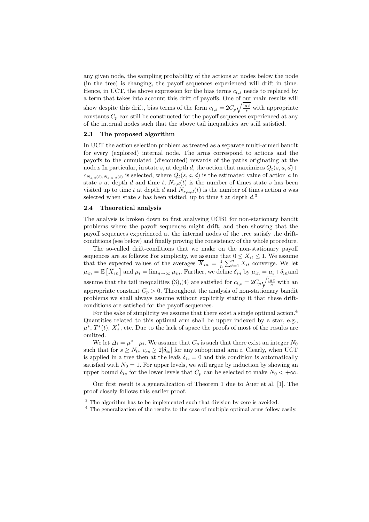any given node, the sampling probability of the actions at nodes below the node (in the tree) is changing, the payoff sequences experienced will drift in time. Hence, in UCT, the above expression for the bias terms  $c_{t,s}$  needs to replaced by a term that takes into account this drift of payoffs. One of  $\overline{\text{our}}$  main results will show despite this drift, bias terms of the form  $c_{t,s} = 2C_p \sqrt{\frac{\ln t}{s}}$  with appropriate constants  $C_p$  can still be constructed for the payoff sequences experienced at any of the internal nodes such that the above tail inequalities are still satisfied.

## 2.3 The proposed algorithm

In UCT the action selection problem as treated as a separate multi-armed bandit for every (explored) internal node. The arms correspond to actions and the payoffs to the cumulated (discounted) rewards of the paths originating at the node.s In particular, in state s, at depth d, the action that maximizes  $Q_t(s, a, d)$ +  $c_{N_{s,d}(t),N_{s,a,d}(t)}$  is selected, where  $Q_t(s,a,d)$  is the estimated value of action a in state s at depth d and time t,  $N_{s,d}(t)$  is the number of times state s has been visited up to time t at depth d and  $N_{s,a,d}(t)$  is the number of times action a was selected when state s has been visited, up to time t at depth  $d^3$ .

#### 2.4 Theoretical analysis

The analysis is broken down to first analysing UCB1 for non-stationary bandit problems where the payoff sequences might drift, and then showing that the payoff sequences experienced at the internal nodes of the tree satisfy the driftconditions (see below) and finally proving the consistency of the whole procedure.

The so-called drift-conditions that we make on the non-stationary payoff sequences are as follows: For simplicity, we assume that  $0 \leq X_{it} \leq 1$ . We assume that the expected values of the averages  $\overline{X}_{in} = \frac{1}{n}$ Expected values of the averages  $\overline{X}_{in} = \frac{1}{n} \sum_{t=1}^{n} X_{it}$  converge. We let that the expected values of the averages  $\Lambda_{in} = \frac{1}{n} \sum_{t=1}^n \Lambda_{it}$  converge. We fet  $\mu_{in} = \mathbb{E} [\overline{X}_{in}]$  and  $\mu_i = \lim_{n \to \infty} \mu_{in}$ . Further, we define  $\delta_{in}$  by  $\mu_{in} = \mu_i + \delta_{in}$  and assume that the tail inequalities (3), (4) are satisfied for  $c_{t,s} = 2C_p \sqrt{\frac{\ln t}{s}}$  with an appropriate constant  $C_p > 0$ . Throughout the analysis of non-stationary bandit problems we shall always assume without explicitly stating it that these driftconditions are satisfied for the payoff sequences.

For the sake of simplicity we assume that there exist a single optimal action.<sup>4</sup> Quantities related to this optimal arm shall be upper indexed by a star, e.g.,  $\mu^*, T^*(t), \overline{X}_t^*$  $\hat{t}$ , etc. Due to the lack of space the proofs of most of the results are omitted.

We let  $\Delta_i = \mu^* - \mu_i$ . We assume that  $C_p$  is such that there exist an integer  $N_0$ such that for  $s \geq N_0$ ,  $c_{ss} \geq 2|\delta_{is}|$  for any suboptimal arm *i*. Clearly, when UCT is applied in a tree then at the leafs  $\delta_{is} = 0$  and this condition is automatically satisfied with  $N_0 = 1$ . For upper levels, we will argue by induction by showing an upper bound  $\delta_{ts}$  for the lower levels that  $C_p$  can be selected to make  $N_0 < +\infty$ .

Our first result is a generalization of Theorem 1 due to Auer et al. [1]. The proof closely follows this earlier proof.

<sup>&</sup>lt;sup>3</sup> The algorithm has to be implemented such that division by zero is avoided.

<sup>&</sup>lt;sup>4</sup> The generalization of the results to the case of multiple optimal arms follow easily.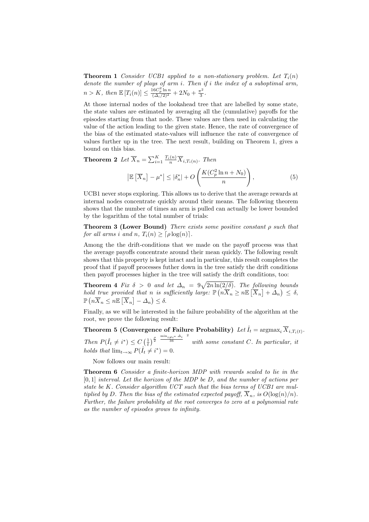**Theorem 1** Consider UCB1 applied to a non-stationary problem. Let  $T_i(n)$ denote the number of plays of arm i. Then if i the index of a suboptimal arm,  $n > K$ , then  $\mathbb{E}[T_i(n)] \leq \frac{16C_p^2 \ln n}{(\Delta_i/2)^2} + 2N_0 + \frac{\pi^2}{3}$  $\frac{r^2}{3}$ .

At those internal nodes of the lookahead tree that are labelled by some state, the state values are estimated by averaging all the (cumulative) payoffs for the episodes starting from that node. These values are then used in calculating the value of the action leading to the given state. Hence, the rate of convergence of the bias of the estimated state-values will influence the rate of convergence of values further up in the tree. The next result, building on Theorem 1, gives a bound on this bias.

**Theorem 2** Let  $\overline{X}_n = \sum_{i=1}^K X_i$  $_{i=1}^K$   $\frac{T_i(n)}{n} \overline{X}_{i,T_i(n)}$ . Then

$$
\left| \mathbb{E}\left[\overline{X}_n\right] - \mu^* \right| \leq |\delta_n^*| + O\left(\frac{K(C_p^2 \ln n + N_0)}{n}\right),\tag{5}
$$

UCB1 never stops exploring. This allows us to derive that the average rewards at internal nodes concentrate quickly around their means. The following theorem shows that the number of times an arm is pulled can actually be lower bounded by the logarithm of the total number of trials:

**Theorem 3 (Lower Bound)** There exists some positive constant  $\rho$  such that for all arms i and n,  $T_i(n) \geq \lceil \rho \log(n) \rceil$ .

Among the the drift-conditions that we made on the payoff process was that the average payoffs concentrate around their mean quickly. The following result shows that this property is kept intact and in particular, this result completes the proof that if payoff processes futher down in the tree satisfy the drift conditions then payoff processes higher in the tree will satisfy the drift conditions, too:

**Theorem 4** Fix  $\delta > 0$  and let  $\Delta_n = 9\sqrt{2n \ln(2/\delta)}$ . The following bounds hold true provided that n is sufficiently large:  $\mathbb{P}\left(n\overline{X}_n \geq n\mathbb{E}\left[\overline{X}_n\right] + \Delta_n\right) \leq \delta$ ,  $\mathbb{P}\left(n\overline{X}_n\leq n\mathbb{E}\left[\overline{X}_n\right]-\Delta_n\right)\leq \delta.$ 

Finally, as we will be interested in the failure probability of the algorithm at the root, we prove the following result:

Theorem 5 (Convergence of Failure Probability)  $\textit{Let } \hat{I}_t = \mathop{\rm argmax}_{i} \overline{X}_{i,T_i(t)}$ . Then  $P(\hat{I}_t \neq i^*) \leq C$  $\left(\frac{1}{t}\right)$  $\frac{\rho}{2} \frac{\min_{i \neq i^*} \Delta_i}{36}$ 2 with some constant C. In particular, it holds that  $\lim_{t\to\infty} P(\hat{I}_t \neq i^*) = 0.$ 

Now follows our main result:

Theorem 6 Consider a finite-horizon MDP with rewards scaled to lie in the  $[0, 1]$  interval. Let the horizon of the MDP be D, and the number of actions per state be K. Consider algorithm UCT such that the bias terms of UCB1 are multiplied by D. Then the bias of the estimated expected payoff,  $\overline{X}_n$ , is  $O(\log(n)/n)$ . Further, the failure probability at the root converges to zero at a polynomial rate as the number of episodes grows to infinity.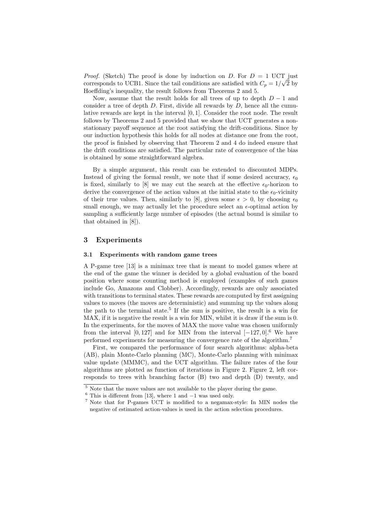*Proof.* (Sketch) The proof is done by induction on D. For  $D = 1$  UCT just corresponds to UCB1. Since the tail conditions are satisfied with  $C_p = 1/\sqrt{2}$  by Hoeffding's inequality, the result follows from Theorems 2 and 5.

Now, assume that the result holds for all trees of up to depth  $D-1$  and consider a tree of depth  $D$ . First, divide all rewards by  $D$ , hence all the cumulative rewards are kept in the interval [0, 1]. Consider the root node. The result follows by Theorems 2 and 5 provided that we show that UCT generates a nonstationary payoff sequence at the root satisfying the drift-conditions. Since by our induction hypothesis this holds for all nodes at distance one from the root, the proof is finished by observing that Theorem 2 and 4 do indeed ensure that the drift conditions are satisfied. The particular rate of convergence of the bias is obtained by some straightforward algebra.

By a simple argument, this result can be extended to discounted MDPs. Instead of giving the formal result, we note that if some desired accuracy,  $\epsilon_0$ is fixed, similarly to [8] we may cut the search at the effective  $\epsilon_0$ -horizon to derive the convergence of the action values at the initial state to the  $\epsilon_0$ -vicinity of their true values. Then, similarly to [8], given some  $\epsilon > 0$ , by choosing  $\epsilon_0$ small enough, we may actually let the procedure select an  $\epsilon$ -optimal action by sampling a sufficiently large number of episodes (the actual bound is similar to that obtained in [8]).

## 3 Experiments

#### 3.1 Experiments with random game trees

A P-game tree [13] is a minimax tree that is meant to model games where at the end of the game the winner is decided by a global evaluation of the board position where some counting method is employed (examples of such games include Go, Amazons and Clobber). Accordingly, rewards are only associated with transitions to terminal states. These rewards are computed by first assigning values to moves (the moves are deterministic) and summing up the values along the path to the terminal state.<sup>5</sup> If the sum is positive, the result is a win for MAX, if it is negative the result is a win for MIN, whilst it is draw if the sum is 0. In the experiments, for the moves of MAX the move value was chosen uniformly from the interval  $[0, 127]$  and for MIN from the interval  $[-127, 0]$ .<sup>6</sup> We have performed experiments for measuring the convergence rate of the algorithm.<sup>7</sup>

First, we compared the performance of four search algorithms: alpha-beta (AB), plain Monte-Carlo planning (MC), Monte-Carlo planning with minimax value update (MMMC), and the UCT algorithm. The failure rates of the four algorithms are plotted as function of iterations in Figure 2. Figure 2, left corresponds to trees with branching factor (B) two and depth (D) twenty, and

 $^{\rm 5}$  Note that the move values are not available to the player during the game.

 $^6$  This is different from [13], where 1 and  $-1$  was used only.

<sup>7</sup> Note that for P-games UCT is modified to a negamax-style: In MIN nodes the negative of estimated action-values is used in the action selection procedures.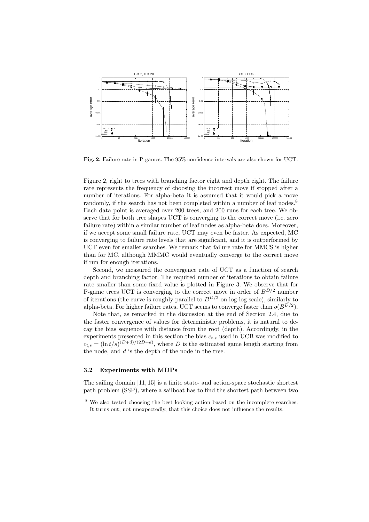

Fig. 2. Failure rate in P-games. The 95% confidence intervals are also shown for UCT.

Figure 2, right to trees with branching factor eight and depth eight. The failure rate represents the frequency of choosing the incorrect move if stopped after a number of iterations. For alpha-beta it is assumed that it would pick a move randomly, if the search has not been completed within a number of leaf nodes.<sup>8</sup> Each data point is averaged over 200 trees, and 200 runs for each tree. We observe that for both tree shapes UCT is converging to the correct move (i.e. zero failure rate) within a similar number of leaf nodes as alpha-beta does. Moreover, if we accept some small failure rate, UCT may even be faster. As expected, MC is converging to failure rate levels that are significant, and it is outperformed by UCT even for smaller searches. We remark that failure rate for MMCS is higher than for MC, although MMMC would eventually converge to the correct move if run for enough iterations.

Second, we measured the convergence rate of UCT as a function of search depth and branching factor. The required number of iterations to obtain failure rate smaller than some fixed value is plotted in Figure 3. We observe that for P-game trees UCT is converging to the correct move in order of  $B^{D/2}$  number of iterations (the curve is roughly parallel to  $B^{D/2}$  on log-log scale), similarly to alpha-beta. For higher failure rates, UCT seems to converge faster than  $o(B^{D/2})$ .

Note that, as remarked in the discussion at the end of Section 2.4, due to the faster convergence of values for deterministic problems, it is natural to decay the bias sequence with distance from the root (depth). Accordingly, in the experiments presented in this section the bias  $c_{t,s}$  used in UCB was modified to  $c_{t,s} = (\ln t/s)^{(D+d)/(2D+d)}$ , where D is the estimated game length starting from the node, and  $d$  is the depth of the node in the tree.

#### 3.2 Experiments with MDPs

The sailing domain [11, 15] is a finite state- and action-space stochastic shortest path problem (SSP), where a sailboat has to find the shortest path between two

<sup>&</sup>lt;sup>8</sup> We also tested choosing the best looking action based on the incomplete searches. It turns out, not unexpectedly, that this choice does not influence the results.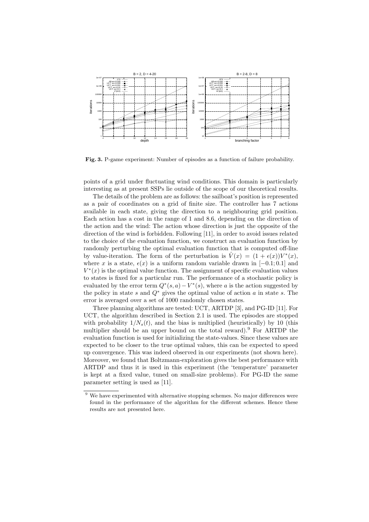

Fig. 3. P-game experiment: Number of episodes as a function of failure probability.

points of a grid under fluctuating wind conditions. This domain is particularly interesting as at present SSPs lie outside of the scope of our theoretical results.

The details of the problem are as follows: the sailboat's position is represented as a pair of coordinates on a grid of finite size. The controller has 7 actions available in each state, giving the direction to a neighbouring grid position. Each action has a cost in the range of 1 and 8.6, depending on the direction of the action and the wind: The action whose direction is just the opposite of the direction of the wind is forbidden. Following [11], in order to avoid issues related to the choice of the evaluation function, we construct an evaluation function by randomly perturbing the optimal evaluation function that is computed off-line by value-iteration. The form of the perturbation is  $\hat{V}(x) = (1 + \epsilon(x))V^*(x)$ , where x is a state,  $\epsilon(x)$  is a uniform random variable drawn in [−0.1; 0.1] and  $V^*(x)$  is the optimal value function. The assignment of specific evaluation values to states is fixed for a particular run. The performance of a stochastic policy is evaluated by the error term  $Q^*(s, a) - V^*(s)$ , where a is the action suggested by the policy in state s and  $Q^*$  gives the optimal value of action a in state s. The error is averaged over a set of 1000 randomly chosen states.

Three planning algorithms are tested: UCT, ARTDP [3], and PG-ID [11]. For UCT, the algorithm described in Section 2.1 is used. The episodes are stopped with probability  $1/N_s(t)$ , and the bias is multiplied (heuristically) by 10 (this multiplier should be an upper bound on the total reward).<sup>9</sup> For ARTDP the evaluation function is used for initializing the state-values. Since these values are expected to be closer to the true optimal values, this can be expected to speed up convergence. This was indeed observed in our experiments (not shown here). Moreover, we found that Boltzmann-exploration gives the best performance with ARTDP and thus it is used in this experiment (the 'temperature' parameter is kept at a fixed value, tuned on small-size problems). For PG-ID the same parameter setting is used as [11].

 $9$  We have experimented with alternative stopping schemes. No major differences were found in the performance of the algorithm for the different schemes. Hence these results are not presented here.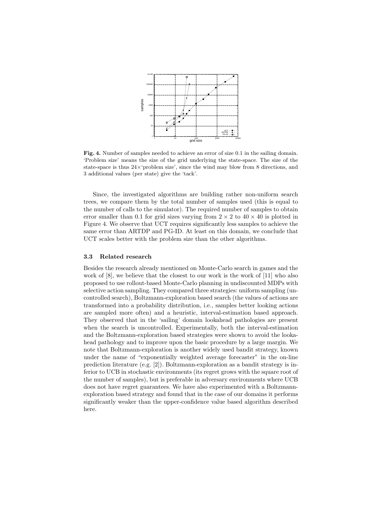

Fig. 4. Number of samples needed to achieve an error of size 0.1 in the sailing domain. 'Problem size' means the size of the grid underlying the state-space. The size of the state-space is thus  $24\times$ 'problem size', since the wind may blow from 8 directions, and 3 additional values (per state) give the 'tack'.

Since, the investigated algorithms are building rather non-uniform search trees, we compare them by the total number of samples used (this is equal to the number of calls to the simulator). The required number of samples to obtain error smaller than 0.1 for grid sizes varying from  $2 \times 2$  to  $40 \times 40$  is plotted in Figure 4. We observe that UCT requires significantly less samples to achieve the same error than ARTDP and PG-ID. At least on this domain, we conclude that UCT scales better with the problem size than the other algorithms.

#### 3.3 Related research

Besides the research already mentioned on Monte-Carlo search in games and the work of [8], we believe that the closest to our work is the work of [11] who also proposed to use rollout-based Monte-Carlo planning in undiscounted MDPs with selective action sampling. They compared three strategies: uniform sampling (uncontrolled search), Boltzmann-exploration based search (the values of actions are transformed into a probability distribution, i.e., samples better looking actions are sampled more often) and a heuristic, interval-estimation based approach. They observed that in the 'sailing' domain lookahead pathologies are present when the search is uncontrolled. Experimentally, both the interval-estimation and the Boltzmann-exploration based strategies were shown to avoid the lookahead pathology and to improve upon the basic procedure by a large margin. We note that Boltzmann-exploration is another widely used bandit strategy, known under the name of "exponentially weighted average forecaster" in the on-line prediction literature (e.g. [2]). Boltzmann-exploration as a bandit strategy is inferior to UCB in stochastic environments (its regret grows with the square root of the number of samples), but is preferable in adversary environments where UCB does not have regret guarantees. We have also experimented with a Boltzmannexploration based strategy and found that in the case of our domains it performs significantly weaker than the upper-confidence value based algorithm described here.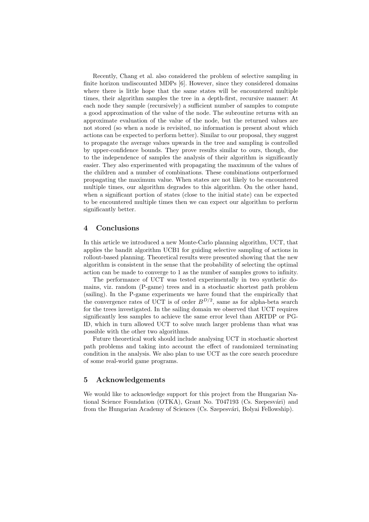Recently, Chang et al. also considered the problem of selective sampling in finite horizon undiscounted MDPs [6]. However, since they considered domains where there is little hope that the same states will be encountered multiple times, their algorithm samples the tree in a depth-first, recursive manner: At each node they sample (recursively) a sufficient number of samples to compute a good approximation of the value of the node. The subroutine returns with an approximate evaluation of the value of the node, but the returned values are not stored (so when a node is revisited, no information is present about which actions can be expected to perform better). Similar to our proposal, they suggest to propagate the average values upwards in the tree and sampling is controlled by upper-confidence bounds. They prove results similar to ours, though, due to the independence of samples the analysis of their algorithm is significantly easier. They also experimented with propagating the maximum of the values of the children and a number of combinations. These combinations outperformed propagating the maximum value. When states are not likely to be encountered multiple times, our algorithm degrades to this algorithm. On the other hand, when a significant portion of states (close to the initial state) can be expected to be encountered multiple times then we can expect our algorithm to perform significantly better.

## 4 Conclusions

In this article we introduced a new Monte-Carlo planning algorithm, UCT, that applies the bandit algorithm UCB1 for guiding selective sampling of actions in rollout-based planning. Theoretical results were presented showing that the new algorithm is consistent in the sense that the probability of selecting the optimal action can be made to converge to 1 as the number of samples grows to infinity.

The performance of UCT was tested experimentally in two synthetic domains, viz. random (P-game) trees and in a stochastic shortest path problem (sailing). In the P-game experiments we have found that the empirically that the convergence rates of UCT is of order  $B^{D/2}$ , same as for alpha-beta search for the trees investigated. In the sailing domain we observed that UCT requires significantly less samples to achieve the same error level than ARTDP or PG-ID, which in turn allowed UCT to solve much larger problems than what was possible with the other two algorithms.

Future theoretical work should include analysing UCT in stochastic shortest path problems and taking into account the effect of randomized terminating condition in the analysis. We also plan to use UCT as the core search procedure of some real-world game programs.

## 5 Acknowledgements

We would like to acknowledge support for this project from the Hungarian National Science Foundation (OTKA), Grant No. T047193 (Cs. Szepesvári) and from the Hungarian Academy of Sciences (Cs. Szepesvári, Bolyai Fellowship).